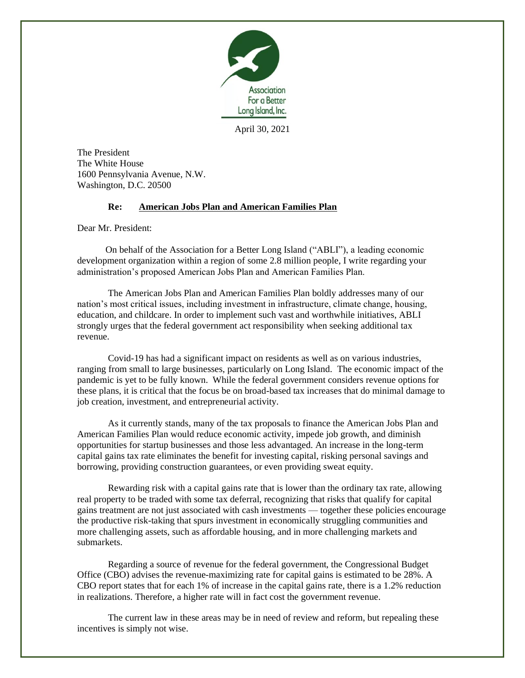

April 30, 2021

The President The White House 1600 Pennsylvania Avenue, N.W. Washington, D.C. 20500

## **Re: American Jobs Plan and American Families Plan**

Dear Mr. President:

On behalf of the Association for a Better Long Island ("ABLI"), a leading economic development organization within a region of some 2.8 million people, I write regarding your administration's proposed American Jobs Plan and American Families Plan.

The American Jobs Plan and American Families Plan boldly addresses many of our nation's most critical issues, including investment in infrastructure, climate change, housing, education, and childcare. In order to implement such vast and worthwhile initiatives, ABLI strongly urges that the federal government act responsibility when seeking additional tax revenue.

Covid-19 has had a significant impact on residents as well as on various industries, ranging from small to large businesses, particularly on Long Island. The economic impact of the pandemic is yet to be fully known. While the federal government considers revenue options for these plans, it is critical that the focus be on broad-based tax increases that do minimal damage to job creation, investment, and entrepreneurial activity.

As it currently stands, many of the tax proposals to finance the American Jobs Plan and American Families Plan would reduce economic activity, impede job growth, and diminish opportunities for startup businesses and those less advantaged. An increase in the long-term capital gains tax rate eliminates the benefit for investing capital, risking personal savings and borrowing, providing construction guarantees, or even providing sweat equity.

Rewarding risk with a capital gains rate that is lower than the ordinary tax rate, allowing real property to be traded with some tax deferral, recognizing that risks that qualify for capital gains treatment are not just associated with cash investments — together these policies encourage the productive risk-taking that spurs investment in economically struggling communities and more challenging assets, such as affordable housing, and in more challenging markets and submarkets.

Regarding a source of revenue for the federal government, the Congressional Budget Office (CBO) advises the revenue-maximizing rate for capital gains is estimated to be 28%. A CBO report states that for each 1% of increase in the capital gains rate, there is a 1.2% reduction in realizations. Therefore, a higher rate will in fact cost the government revenue.

The current law in these areas may be in need of review and reform, but repealing these incentives is simply not wise.